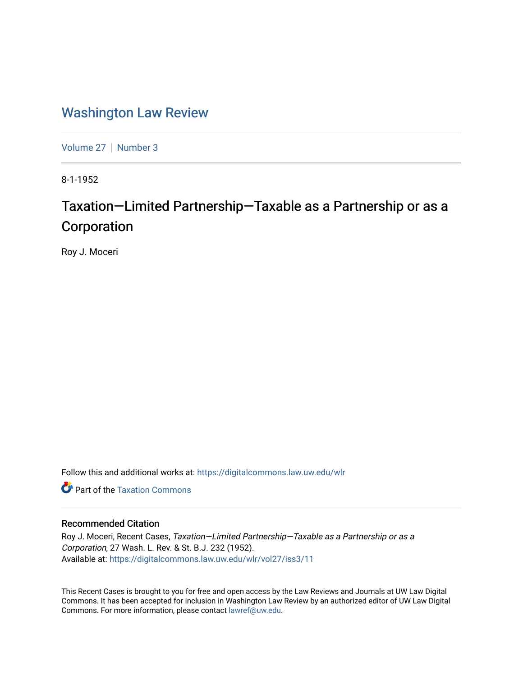## [Washington Law Review](https://digitalcommons.law.uw.edu/wlr)

[Volume 27](https://digitalcommons.law.uw.edu/wlr/vol27) | [Number 3](https://digitalcommons.law.uw.edu/wlr/vol27/iss3)

8-1-1952

## Taxation—Limited Partnership—Taxable as a Partnership or as a Corporation

Roy J. Moceri

Follow this and additional works at: [https://digitalcommons.law.uw.edu/wlr](https://digitalcommons.law.uw.edu/wlr?utm_source=digitalcommons.law.uw.edu%2Fwlr%2Fvol27%2Fiss3%2F11&utm_medium=PDF&utm_campaign=PDFCoverPages)

**C** Part of the Taxation Commons

## Recommended Citation

Roy J. Moceri, Recent Cases, Taxation—Limited Partnership—Taxable as a Partnership or as a Corporation, 27 Wash. L. Rev. & St. B.J. 232 (1952). Available at: [https://digitalcommons.law.uw.edu/wlr/vol27/iss3/11](https://digitalcommons.law.uw.edu/wlr/vol27/iss3/11?utm_source=digitalcommons.law.uw.edu%2Fwlr%2Fvol27%2Fiss3%2F11&utm_medium=PDF&utm_campaign=PDFCoverPages) 

This Recent Cases is brought to you for free and open access by the Law Reviews and Journals at UW Law Digital Commons. It has been accepted for inclusion in Washington Law Review by an authorized editor of UW Law Digital Commons. For more information, please contact [lawref@uw.edu](mailto:lawref@uw.edu).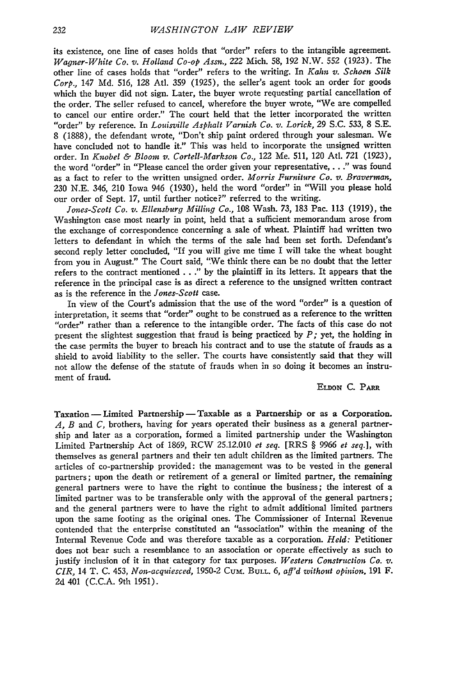its existence, one line of cases holds that "order" refers to the intangible agreement. *Wagner-White Co. v. Holland Co-op Assn.*, 222 Mich. 58, 192 N.W. 552 (1923). The other line of cases holds that "order" refers to the writing. In *Kahn v. Schoen Silk Corp.,* 147 **Md.** 516, 128 Atl. 359 (1925), the seller's agent took an order for goods which the buyer did not sign. Later, the buyer wrote requesting partial cancellation of the order. The seller refused to cancel, wherefore the buyer wrote, "We are compelled to cancel our entire order." The court held that the letter incorporated the written "order" **by** reference. In *Louisville Asphalt Varnish Co. v. Lorick,* 29 S.C. 533, 8 **S.E.** 8 (1888), the defendant wrote, "Don't ship paint ordered through your salesman. We have concluded not to handle it." This was held to incorporate the unsigned written order. In *Knobel & Bloom v. Cortell-Markson Co.,* 122 Me. 511, 120 Atl. 721 (1923), the word "order" in "Please cancel the order given your representative,. . **."** was found as a fact to refer to the written unsigned order. *Morris Furniture Co. v. Braverman,* 230 N.E. 346, 210 Iowa 946 (1930), held the word "order" in "Will you please hold our order of Sept. 17, until further notice?" referred to the writing.

*Jones-Scott Co. v. Ellensburg Milling Co.,* 108 Wash. 73, 183 Pac. 113 (1919), the Washington case most nearly in point, held that a sufficient memorandum arose from the exchange of correspondence concerning a sale of wheat. Plaintiff had written two letters to defendant in which the terms of the sale had been set forth. Defendant's second reply letter concluded, "If you will give me time I will take the wheat bought from you in August." The Court said, "We think there can be no doubt that the letter refers to the contract mentioned **. . ." by** the plaintiff in its letters. It appears that the reference in the principal case is as direct a reference to the unsigned written contract as is the reference in the *Jones-Scott* case.

In view of the Court's admission that the use of the word "order" is a question of interpretation, it seems that "order" ought to be construed as a reference to the written "order" rather than a reference to the intangible order. The facts of this case do not present the slightest suggestion that fraud is being practiced **by** *P;* yet, the holding in the case permits the buyer to breach his contract and to use the statute of frauds as a shield to avoid liability to the seller. The courts have consistently said that they will not allow the defense of the statute of frauds when in so doing it becomes an instrument of fraud.

## ELDON **C.** *PARR*

Taxation - Limited Partnership - Taxable as a Partnership or as a Corporation. *A, B* and *C,* brothers, having for years operated their business as a general partnership and later as a corporation, formed a limited partnership under the Washington Limited Partnership Act of 1869, RCW 25.12.010 *et seq.* [RRS § 9966 *et seq.],* with themselves as general partners and their ten adult children as the limited partners. The articles of co-partnership provided: the management was to be vested in the general partners; upon the death or retirement of a general or limited partner, the remaining general partners were to have the right to continue the business; the interest of a limited partner was to be transferable only with the approval of the general partners; and the general partners were to have the right to admit additional limited partners upon the same footing as the original ones. The Commissioner of Internal Revenue contended that the enterprise constituted an "association" within the meaning of the Internal Revenue Code and was therefore taxable as a corporation. *Held:* Petitioner does not bear such a resemblance to an association or operate effectively as such to justify inclusion of it in that category for tax purposes. *Western Construction Co. v. CIR,* 14 T. C. 453, *Non-acquiesced,* 1950-2 Cum. **BULL.** 6, *aff'd without opinion.* 191 F. 2d 401 (C.C.A. 9th 1951).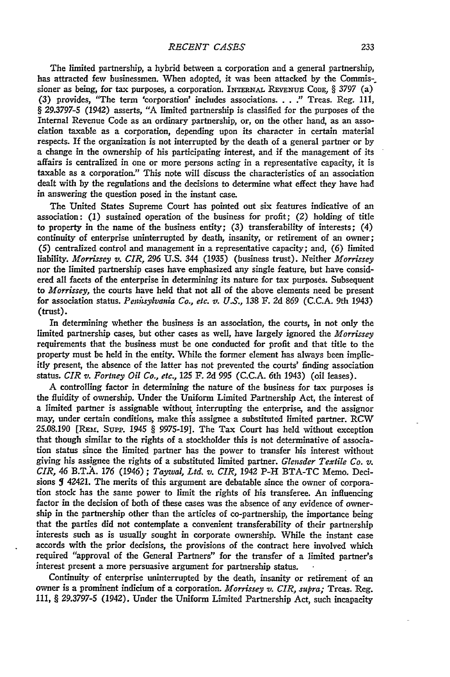The limited partnership, a hybrid between a corporation and a general partnership, has attracted few businessmen. When adopted, it was been attacked by the Commissioner as being, for tax purposes, a corporation. INERNAL REVENuE **CODE,** § 3797 (a) (3) provides, "The term 'corporation' includes associations. **. .** *."* Treas. Reg. 111, § 29.3797-5 (1942) asserts, "A limited partnership is classified for the purposes of the Internal Revenue Code as an ordinary partnership, or, on the other hand, as an association taxable as a corporation, depending upon its character in certain material respects. If the organization is not interrupted by the death of a general partner or by a change in the ownership of his participating interest, and if the management of its affairs is centralized in one or more persons acting in a representative capacity, it is taxable as a corporation." This note will discuss the characteristics of an association dealt with by the regulations and the decisions to determine what effect they have had in answering the question posed in the instant case.

The United States Supreme Court has pointed out six features indicative of an association: (1) sustained operation of the business for profit; *(2)* holding of title to property in the name of the business entity; (3) transferability of interests; (4) continuity of enterprise uninterrupted by death, insanity, or retirement of an owner; (5) centralized control and management in a representative capacity; and, (6) limited liability. *Morrissey v. CIR, 296* **U.S. 344** (1935) (business trust). Neither *Morrissey* nor the limited partnership cases have emphasized any single feature, but have considered all facets of the enterprise in determining its nature for tax purposes. Subsequent to *Morrissey,* the courts have held that not all of the above elements need be present for association status. *Penitsylvania Co., etc. v. U.S.,* 138 F. 2d 869 **(C.C.A.** 9th 1943) (trust).

In determining whether the business is an association, the courts, in not only the limited partnership cases, but other cases as well, have largely ignored the *Morrissey* requirements that the business must be one conducted for profit and that title to the property must be held in the entity. While the former element has always been implicitly present, the absence of the latter has not prevented the courts' finding association status. *CIR v. Fortney Oil Co., etc.,* 125 F. **2d** 995 **(C.C.A.** 6th 1943) (oil leases).

A controlling factor in determining the nature of the business for tax purposes is the fluidity of ownership. Under the Uniform Limited Partnership Act, the interest of a limited partner is assignable without interrupting the enterprise, and the assignor may, under certain conditions, make this assignee a substituted limited partner. RCW 25.08.190 [REm. Supp. 1945 § 9975-19]. The Tax Court has held without exception that though similar to the rights of a stockholder this is not determinative of association status since the limited partner has the power to transfer his interest without giving his assignee the rights of a substituted limited partner. *Glensder Textile Co. v. CIR,* 46 B.T.A. *176* (1946); *Taywal, Ltd. v. CIR,* 1942 P-H BTA-TC Memo. Decisions **5** 42421. The merits of this argument are debatable since the owner of corporation stock has the same power to limit the rights of his transferee. An influencing factor in the decision of both of these cases was the absence of any evidence of ownership in the partnership other than the articles of co-partnership, the importance being that the parties did not contemplate a convenient transferability of their partnership interests such as is usually sought in corporate ownership. While the instant case accords with the prior decisions, the provisions of the contract here involved which required "approval of the General Partners" for the transfer of a limited partner's interest present a more persuasive argument for partnership status.

Continuity of enterprise uninterrupted by the death, insanity or retirement of an owner is a prominent indicium of a corporation. *Morrissey v. CIR, supra;* Treas. Reg. 111, § 29.3797-5 (1942). Under the Uniform Limited Partnership Act, such incapacity